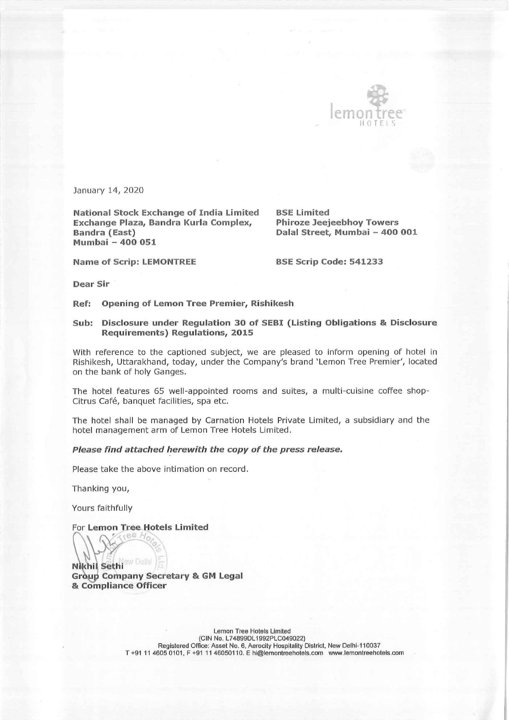

January 14, 2020

National Stock Exchange of India Limited BSE Limited Exchange Plaza, Bandra Kurla Complex, Phiroze Jeejeebhoy Towers Bandra (East) Dalal Street, Mumbai - 400 001 Mumbai — 400 051

I

Name of Scrip: LEMONTREE BSE Scrip Code: 541233

Dear Sir

Ref: Opening of Lemon Tree Premier, Rishikesh

## Sub: Disclosure under Regulation 30 of SEBI (Listing Obligations & Disclosure Requirements) Regulations, 2015

With reference to the captioned subject, we are pleased to inform opening of hotel in Rishikesh, Uttarakhand, today, under the Company's brand 'Lemon Tree Premier', located on the bank of holy Ganges.

The hotel features 65 well-appointed rooms and suites, a multi-cuisine coffee shop-Citrus Café, banquet facilities, spa etc.

The hotel shall be managed by Carnation Hotels Private Limited, a subsidiary and the hotel management arm of Lemon Tree Hotels Limited.

## Please find attached herewith the copy of the press release.

Please take the above intimation on record.

Thanking you,

Yours faithfully

For Lemon Tree Hotels Limited ee A

**Nikhil Sethi** Group Company Secretary & GM Legal & Compliance Officer

> Lemon Tree Hotels Limited (CIN No. L74899DL1992PLC049022) Registered Office: Asset No. 6, Aerocily Hospitality District, New Delhi-110037 T +91 11 4605 0101, F +91 11 46050110. E hi@lemontreehotels.com www.lemontreehotels.com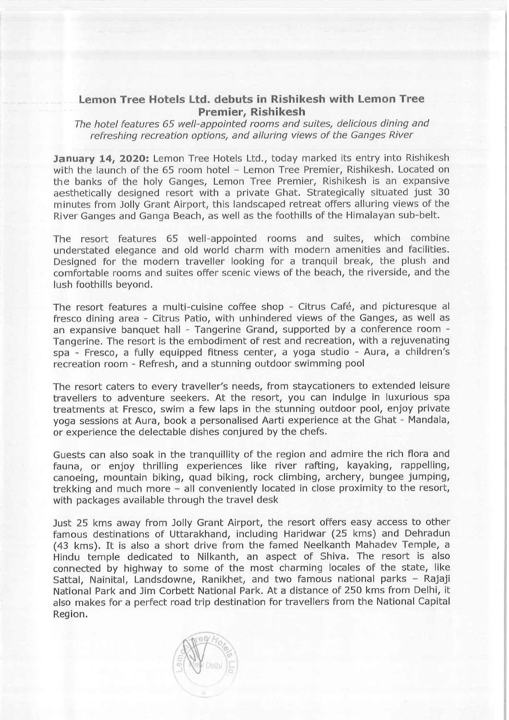## Lemon Tree Hotels Ltd. debuts in Rishikesh with Lemon Tree Premier, Rishikesh

The hotel features 65 well-appointed rooms and suites, delicious dining and refreshing recreation options, and alluring views of the Ganges River

January 14, 2020: Lemon Tree Hotels Ltd., today marked its entry into Rishikesh with the launch of the 65 room hotel - Lemon Tree Premier, Rishikesh. Located on the banks of the holy Ganges, Lemon Tree Premier, Rishikesh is an expansive aesthetically designed resort with a private Ghat. Strategically situated just 30 minutes from Jolly Grant Airport, this landscaped retreat offers alluring views of the River Ganges and Ganga Beach, as well as the foothills of the Himalayan sub-belt.

The resort features 65 well-appointed rooms and\_ suites, which combine understated elegance and old world charm with modern amenities and facilities. Designed for the modern traveller looking for a tranquil break, the plush and comfortable rooms and suites offer scenic views of the beach, the riverside, and the lush foothills beyond.

The resort features a multi-cuisine coffee shop - Citrus Café, and picturesque al fresco dining area - Citrus Patio, with unhindered views of the Ganges, as well as an expansive banquet hall - Tangerine Grand, supported by a conference room -Tangerine. The resort is the embodiment of rest and recreation, with a rejuvenating spa - Fresco, a fully equipped fitness center, a yoga studio - Aura, a children's recreation room - Refresh, and a stunning outdoor swimming pool

The resort caters to every traveller's needs, from staycationers to extended leisure travellers to adventure seekers. At the resort, you can indulge in luxurious spa treatments at Fresco, swim a few laps in the stunning outdoor pool, enjoy private yoga sessions at Aura, book a personalised Aarti experience at the Ghat - Mandala, or experience the delectable dishes conjured by the chefs.

Guests can also soak in the tranquillity of the region and admire the rich flora and fauna, or enjoy thrilling experiences like river rafting, kayaking, rappelling, canoeing, mountain biking, quad biking, rock climbing, archery, bungee jumping, trekking and much more = all conveniently located in close proximity to the resort, with packages available through the travel desk

Just 25 kms away from Jolly Grant Airport, the resort offers easy access to other famous destinations of Uttarakhand, including Haridwar (25 kms) and Dehradun (43 kms). It is also a short drive from the famed Neelkanth Mahadev Temple, a Hindu temple dedicated to Nilkanth, an aspect of Shiva. The resort is also connected by highway to some of the most charming locales of the state, like Sattal, Nainital, Landsdowne, Ranikhet, and two famous national parks - Rajaji National Park and Jim Corbett National Park. At a distance of 250 kms from Delhi, it also makes for a perfect road trip destination for travellers from the National Capital Region.

 $\mathbb{W}$  $\cup$